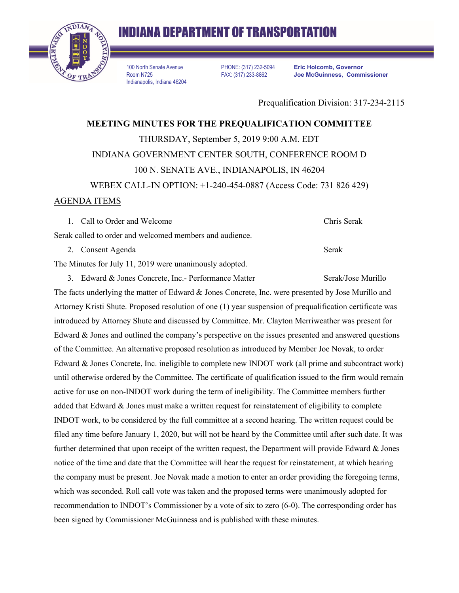

100 North Senate Avenue Room N725 Indianapolis, Indiana 46204

PHONE: (317) 232-5094 FAX: (317) 233-8862

**Eric Holcomb, Governor Joe McGuinness, Commissioner**

Prequalification Division: 317-234-2115

**MEETING MINUTES FOR THE PREQUALIFICATION COMMITTEE**  THURSDAY, September 5, 2019 9:00 A.M. EDT INDIANA GOVERNMENT CENTER SOUTH, CONFERENCE ROOM D 100 N. SENATE AVE., INDIANAPOLIS, IN 46204 WEBEX CALL-IN OPTION: +1-240-454-0887 (Access Code: 731 826 429)

## AGENDA ITEMS

1. Call to Order and Welcome Chris Serak

Serak called to order and welcomed members and audience.

2. Consent Agenda Serak

The Minutes for July 11, 2019 were unanimously adopted.

3. Edward & Jones Concrete, Inc.- Performance Matter Serak/Jose Murillo The facts underlying the matter of Edward & Jones Concrete, Inc. were presented by Jose Murillo and Attorney Kristi Shute. Proposed resolution of one (1) year suspension of prequalification certificate was introduced by Attorney Shute and discussed by Committee. Mr. Clayton Merriweather was present for Edward & Jones and outlined the company's perspective on the issues presented and answered questions of the Committee. An alternative proposed resolution as introduced by Member Joe Novak, to order Edward & Jones Concrete, Inc. ineligible to complete new INDOT work (all prime and subcontract work) until otherwise ordered by the Committee. The certificate of qualification issued to the firm would remain active for use on non-INDOT work during the term of ineligibility. The Committee members further added that Edward & Jones must make a written request for reinstatement of eligibility to complete INDOT work, to be considered by the full committee at a second hearing. The written request could be filed any time before January 1, 2020, but will not be heard by the Committee until after such date. It was further determined that upon receipt of the written request, the Department will provide Edward & Jones notice of the time and date that the Committee will hear the request for reinstatement, at which hearing the company must be present. Joe Novak made a motion to enter an order providing the foregoing terms, which was seconded. Roll call vote was taken and the proposed terms were unanimously adopted for recommendation to INDOT's Commissioner by a vote of six to zero (6-0). The corresponding order has been signed by Commissioner McGuinness and is published with these minutes.